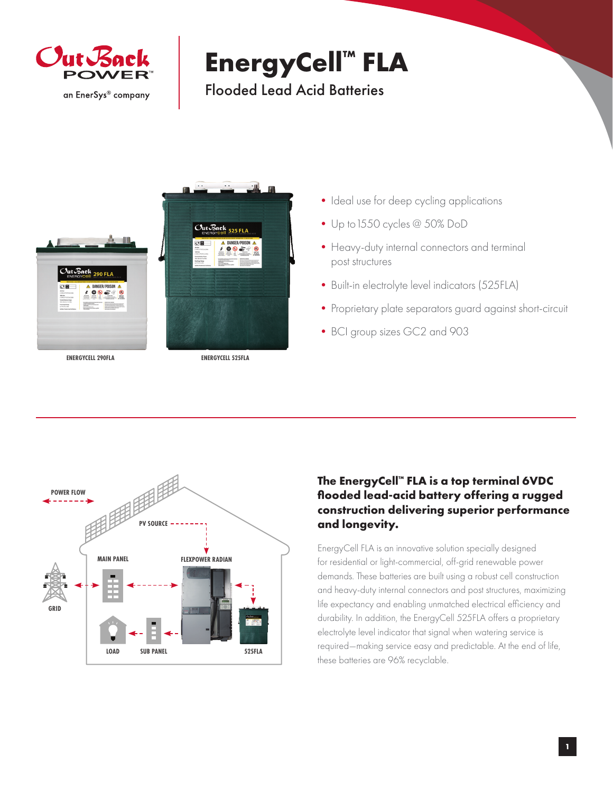

## **EnergyCell™ FLA**

Flooded Lead Acid Batteries



- Ideal use for deep cycling applications
- •Up to1550 cycles @ 50% DoD
- Heavy-duty internal connectors and terminal post structures
- Built-in electrolyte level indicators (525FLA)
- Proprietary plate separators guard against short-circuit
- •BCI group sizes GC2 and 903



## **The EnergyCell™ FLA is a top terminal 6VDC flooded lead-acid battery offering a rugged construction delivering superior performance and longevity.**

EnergyCell FLA is an innovative solution specially designed for residential or light-commercial, off-grid renewable power demands. These batteries are built using a robust cell construction and heavy-duty internal connectors and post structures, maximizing life expectancy and enabling unmatched electrical efficiency and durability. In addition, the EnergyCell 525FLA offers a proprietary electrolyte level indicator that signal when watering service is required—making service easy and predictable. At the end of life, these batteries are 96% recyclable.